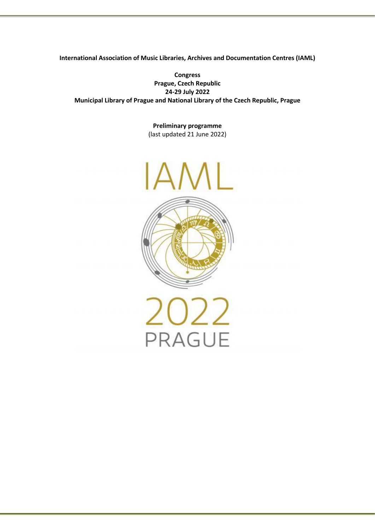**International Association of Music Libraries, Archives and Documentation Centres (IAML)**

**Congress Prague, Czech Republic 24-29 July 2022 Municipal Library of Prague and National Library of the Czech Republic, Prague**

> **Preliminary programme** (last updated 21 June 2022)

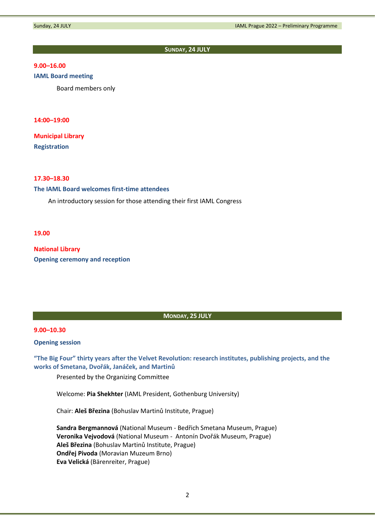#### **SUNDAY, 24 JULY**

# **9.00–16.00**

## **IAML Board meeting**

Board members only

#### **14:00–19:00**

**Municipal Library Registration**

### **17.30–18.30**

## **The IAML Board welcomes first-time attendees**

An introductory session for those attending their first IAML Congress

**19.00**

**National Library Opening ceremony and reception**

#### **MONDAY, 25 JULY**

### **9.00–10.30**

**Opening session**

**"The Big Four" thirty years after the Velvet Revolution: research institutes, publishing projects, and the works of Smetana, Dvořák, Janáček, and Martinů**

Presented by the Organizing Committee

Welcome: **Pia Shekhter** (IAML President, Gothenburg University)

Chair: **Aleš Březina** (Bohuslav Martinů Institute, Prague)

**Sandra Bergmannová** (National Museum - Bedřich Smetana Museum, Prague) **Veronika Vejvodová** (National Museum - Antonín Dvořák Museum, Prague) **Aleš Březina** (Bohuslav Martinů Institute, Prague) **Ondřej Pivoda** (Moravian Muzeum Brno) **Eva Velická** (Bärenreiter, Prague)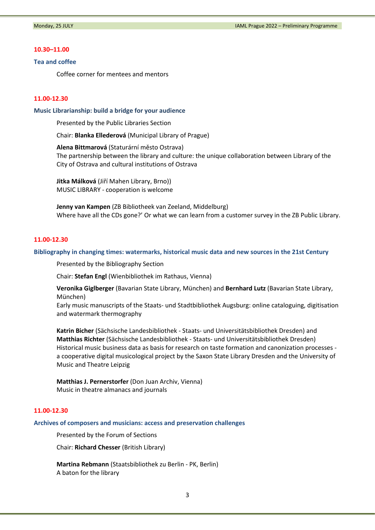#### **10.30–11.00**

#### **Tea and coffee**

Coffee corner for mentees and mentors

#### **11.00-12.30**

#### **Music Librarianship: build a bridge for your audience**

Presented by the Public Libraries Section

Chair: **Blanka Ellederová** (Municipal Library of Prague)

**Alena Bittmarová** (Staturární město Ostrava) The partnership between the library and culture: the unique collaboration between Library of the City of Ostrava and cultural institutions of Ostrava

**Jitka Málková** (Jiří Mahen Library, Brno)) MUSIC LIBRARY - cooperation is welcome

**Jenny van Kampen** (ZB Bibliotheek van Zeeland, Middelburg) Where have all the CDs gone?' Or what we can learn from a customer survey in the ZB Public Library.

# **11.00-12.30**

#### **Bibliography in changing times: watermarks, historical music data and new sources in the 21st Century**

Presented by the Bibliography Section

Chair: **Stefan Engl** (Wienbibliothek im Rathaus, Vienna)

**Veronika Giglberger** (Bavarian State Library, München) and **Bernhard Lutz** (Bavarian State Library, München)

Early music manuscripts of the Staats- und Stadtbibliothek Augsburg: online cataloguing, digitisation and watermark thermography

**Katrin Bicher** (Sächsische Landesbibliothek - Staats- und Universitätsbibliothek Dresden) and **Matthias Richter** (Sächsische Landesbibliothek - Staats- und Universitätsbibliothek Dresden) Historical music business data as basis for research on taste formation and canonization processes a cooperative digital musicological project by the Saxon State Library Dresden and the University of Music and Theatre Leipzig

**Matthias J. Pernerstorfer** (Don Juan Archiv, Vienna) Music in theatre almanacs and journals

# **11.00-12.30**

**Archives of composers and musicians: access and preservation challenges**

Presented by the Forum of Sections

Chair: **Richard Chesser** (British Library)

**Martina Rebmann** (Staatsbibliothek zu Berlin - PK, Berlin) A baton for the library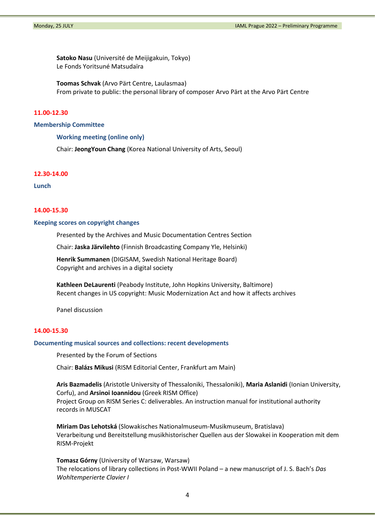**Satoko Nasu** (Université de Meijigakuin, Tokyo) Le Fonds Yoritsuné Matsudaïra

**Toomas Schvak** (Arvo Pärt Centre, Laulasmaa) From private to public: the personal library of composer Arvo Pärt at the Arvo Pärt Centre

## **11.00-12.30**

#### **Membership Committee**

**Working meeting (online only)**

Chair: **JeongYoun Chang** (Korea National University of Arts, Seoul)

#### **12.30-14.00**

**Lunch**

### **14.00-15.30**

#### **Keeping scores on copyright changes**

Presented by the Archives and Music Documentation Centres Section

Chair: **Jaska Järvilehto** (Finnish Broadcasting Company Yle, Helsinki)

**Henrik Summanen** (DIGISAM, Swedish National Heritage Board) Copyright and archives in a digital society

**Kathleen DeLaurenti** (Peabody Institute, John Hopkins University, Baltimore) Recent changes in US copyright: Music Modernization Act and how it affects archives

Panel discussion

### **14.00-15.30**

## **Documenting musical sources and collections: recent developments**

Presented by the Forum of Sections

Chair: **Balázs Mikusi** (RISM Editorial Center, Frankfurt am Main)

**Aris Bazmadelis** (Aristotle University of Thessaloniki, Thessaloniki), **Maria Aslanidi** (Ionian University, Corfu), and **Arsinoi Ioannidou** (Greek RISM Office) Project Group on RISM Series C: deliverables. An instruction manual for institutional authority records in MUSCAT

**Miriam Das Lehotská** (Slowakisches Nationalmuseum-Musikmuseum, Bratislava) Verarbeitung und Bereitstellung musikhistorischer Quellen aus der Slowakei in Kooperation mit dem RISM-Projekt

**Tomasz Górny** (University of Warsaw, Warsaw) The relocations of library collections in Post-WWII Poland – a new manuscript of J. S. Bach's *Das Wohltemperierte Clavier I*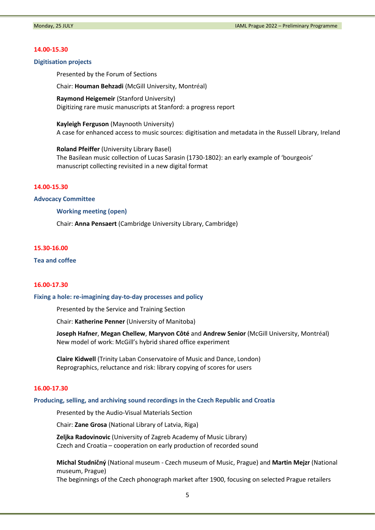#### **14.00-15.30**

### **Digitisation projects**

Presented by the Forum of Sections

Chair: **Houman Behzadi** (McGill University, Montréal)

**Raymond Heigemeir** (Stanford University) Digitizing rare music manuscripts at Stanford: a progress report

**Kayleigh Ferguson** (Maynooth University) A case for enhanced access to music sources: digitisation and metadata in the Russell Library, Ireland

**Roland Pfeiffer** (University Library Basel) The Basilean music collection of Lucas Sarasin (1730-1802): an early example of 'bourgeois' manuscript collecting revisited in a new digital format

#### **14.00-15.30**

#### **Advocacy Committee**

**Working meeting (open)**

Chair: **Anna Pensaert** (Cambridge University Library, Cambridge)

# **15.30-16.00**

**Tea and coffee**

#### **16.00-17.30**

#### **Fixing a hole: re-imagining day-to-day processes and policy**

Presented by the Service and Training Section

Chair: **Katherine Penner** (University of Manitoba)

**Joseph Hafner**, **Megan Chellew**, **Maryvon Côté** and **Andrew Senior** (McGill University, Montréal) New model of work: McGill's hybrid shared office experiment

**Claire Kidwell** (Trinity Laban Conservatoire of Music and Dance, London) Reprographics, reluctance and risk: library copying of scores for users

### **16.00-17.30**

#### **Producing, selling, and archiving sound recordings in the Czech Republic and Croatia**

Presented by the Audio-Visual Materials Section

Chair: **Zane Grosa** (National Library of Latvia, Riga)

**Zeljka Radovinovic** (University of Zagreb Academy of Music Library) Czech and Croatia – cooperation on early production of recorded sound

**Michal Studničný** (National museum - Czech museum of Music, Prague) and **Martin Mejzr** (National museum, Prague)

The beginnings of the Czech phonograph market after 1900, focusing on selected Prague retailers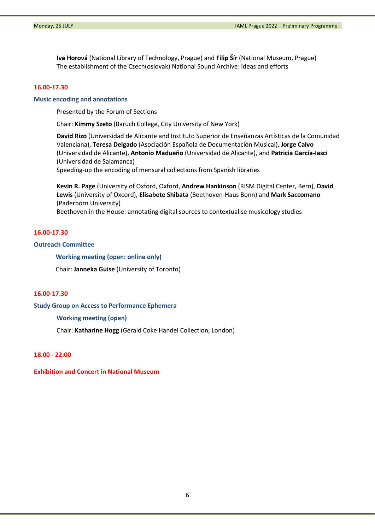**Iva Horová** (National Library of Technology, Prague) and **Filip Šír** (National Museum, Prague) The establishment of the Czech(oslovak) National Sound Archive: ideas and efforts

# **16.00-17.30**

### **Music encoding and annotations**

Presented by the Forum of Sections

Chair: **Kimmy Szeto** (Baruch College, City University of New York)

**David Rizo** (Universidad de Alicante and Instituto Superior de Enseñanzas Artísticas de la Comunidad Valenciana), **Teresa Delgado** (Asociación Española de Documentación Musical), **Jorge Calvo** (Universidad de Alicante), **Antonio Madueño** (Universidad de Alicante), and **Patricia García-Iasci** (Universidad de Salamanca)

Speeding-up the encoding of mensural collections from Spanish libraries

**Kevin R. Page** (University of Oxford, Oxford, **Andrew Hankinson** (RISM Digital Center, Bern), **David Lewis** (University of Oxcord), **Elisabete Shibata** (Beethoven-Haus Bonn) and **Mark Saccomano** (Paderborn University)

Beethoven in the House: annotating digital sources to contextualise musicology studies

# **16.00-17.30**

# **Outreach Committee**

**Working meeting (open: online only)**

Chair: **Janneka Guise** (University of Toronto)

# **16.00-17.30**

**Study Group on Access to Performance Ephemera**

# **Working meeting (open)**

Chair: **Katharine Hogg** (Gerald Coke Handel Collection, London)

# **18.00 - 22:00**

**Exhibition and Concert in National Museum**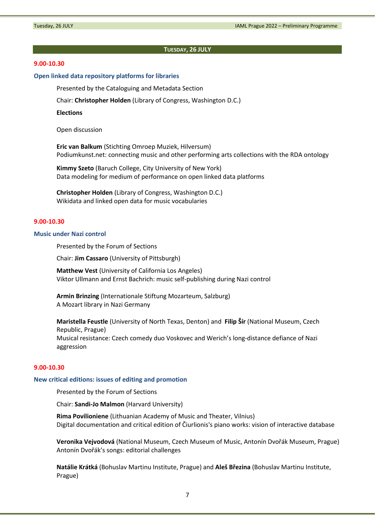#### **TUESDAY, 26 JULY**

### **9.00-10.30**

#### **Open linked data repository platforms for libraries**

Presented by the Cataloguing and Metadata Section

Chair: **Christopher Holden** (Library of Congress, Washington D.C.)

**Elections**

Open discussion

**Eric van Balkum** (Stichting Omroep Muziek, Hilversum) Podiumkunst.net: connecting music and other performing arts collections with the RDA ontology

**Kimmy Szeto** (Baruch College, City University of New York) Data modeling for medium of performance on open linked data platforms

**Christopher Holden** (Library of Congress, Washington D.C.) Wikidata and linked open data for music vocabularies

# **9.00-10.30**

# **Music under Nazi control**

Presented by the Forum of Sections

Chair: **Jim Cassaro** (University of Pittsburgh)

**Matthew Vest** (University of California Los Angeles) Viktor Ullmann and Ernst Bachrich: music self-publishing during Nazi control

**Armin Brinzing** (Internationale Stiftung Mozarteum, Salzburg) A Mozart library in Nazi Germany

**Maristella Feustle** (University of North Texas, Denton) and **Filip Šír** (National Museum, Czech Republic, Prague) Musical resistance: Czech comedy duo Voskovec and Werich's long-distance defiance of Nazi aggression

#### **9.00-10.30**

#### **New critical editions: issues of editing and promotion**

Presented by the Forum of Sections

Chair: **Sandi-Jo Malmon** (Harvard University)

**Rima Povilioniene** (Lithuanian Academy of Music and Theater, Vilnius) Digital documentation and critical edition of Čiurlionis's piano works: vision of interactive database

**Veronika Vejvodová** (National Museum, Czech Museum of Music, Antonín Dvořák Museum, Prague) Antonín Dvořák's songs: editorial challenges

**Natálie Krátká** (Bohuslav Martinu Institute, Prague) and **Aleš Březina** (Bohuslav Martinu Institute, Prague)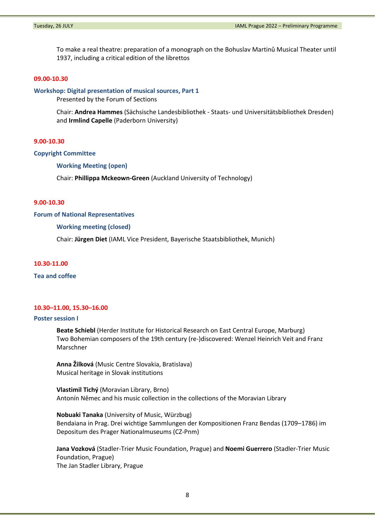To make a real theatre: preparation of a monograph on the Bohuslav Martinů Musical Theater until 1937, including a critical edition of the librettos

# **09.00-10.30**

#### **Workshop: Digital presentation of musical sources, Part 1**

Presented by the Forum of Sections

Chair: **Andrea Hammes** (Sächsische Landesbibliothek - Staats- und Universitätsbibliothek Dresden) and **Irmlind Capelle** (Paderborn University)

### **9.00-10.30**

#### **Copyright Committee**

**Working Meeting (open)**

Chair: **Phillippa Mckeown-Green** (Auckland University of Technology)

# **9.00-10.30**

#### **Forum of National Representatives**

#### **Working meeting (closed)**

Chair: **Jürgen Diet** (IAML Vice President, Bayerische Staatsbibliothek, Munich)

### **10.30-11.00**

**Tea and coffee** 

# **10.30–11.00, 15.30–16.00**

#### **Poster session I**

**Beate Schiebl** (Herder Institute for Historical Research on East Central Europe, Marburg) Two Bohemian composers of the 19th century (re-)discovered: Wenzel Heinrich Veit and Franz Marschner

**Anna Žilková** (Music Centre Slovakia, Bratislava) Musical heritage in Slovak institutions

**Vlastimil Tichý** (Moravian Library, Brno) Antonín Němec and his music collection in the collections of the Moravian Library

**Nobuaki Tanaka** (University of Music, Würzbug) Bendaiana in Prag. Drei wichtige Sammlungen der Kompositionen Franz Bendas (1709–1786) im Depositum des Prager Nationalmuseums (CZ-Pnm)

**Jana Vozková** (Stadler-Trier Music Foundation, Prague) and **Noemi Guerrero** (Stadler-Trier Music Foundation, Prague) The Jan Stadler Library, Prague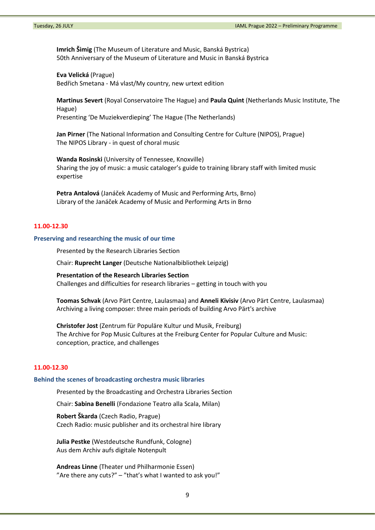**Imrich Šimig** (The Museum of Literature and Music, Banská Bystrica) 50th Anniversary of the Museum of Literature and Music in Banská Bystrica

**Eva Velická** (Prague) Bedřich Smetana - Má vlast/My country, new urtext edition

**Martinus Severt** (Royal Conservatoire The Hague) and **Paula Quint** (Netherlands Music Institute, The Hague) Presenting 'De Muziekverdieping' The Hague (The Netherlands)

**Jan Pirner** (The National Information and Consulting Centre for Culture (NIPOS), Prague) The NIPOS Library - in quest of choral music

**Wanda Rosinski** (University of Tennessee, Knoxville) Sharing the joy of music: a music cataloger's guide to training library staff with limited music expertise

**Petra Antalová** (Janáček Academy of Music and Performing Arts, Brno) Library of the Janáček Academy of Music and Performing Arts in Brno

### **11.00-12.30**

### **Preserving and researching the music of our time**

Presented by the Research Libraries Section

Chair: **Ruprecht Langer** (Deutsche Nationalbibliothek Leipzig)

**Presentation of the Research Libraries Section** Challenges and difficulties for research libraries – getting in touch with you

**Toomas Schvak** (Arvo Pärt Centre, Laulasmaa) and **Anneli Kivisiv** (Arvo Pärt Centre, Laulasmaa) Archiving a living composer: three main periods of building Arvo Pärt's archive

**Christofer Jost** (Zentrum für Populäre Kultur und Musik, Freiburg) The Archive for Pop Music Cultures at the Freiburg Center for Popular Culture and Music: conception, practice, and challenges

# **11.00-12.30**

#### **Behind the scenes of broadcasting orchestra music libraries**

Presented by the Broadcasting and Orchestra Libraries Section

Chair: **Sabina Benelli** (Fondazione Teatro alla Scala, Milan)

**Robert Škarda** (Czech Radio, Prague) Czech Radio: music publisher and its orchestral hire library

**Julia Pestke** (Westdeutsche Rundfunk, Cologne) Aus dem Archiv aufs digitale Notenpult

**Andreas Linne** (Theater und Philharmonie Essen) "Are there any cuts?"  $-$  "that's what I wanted to ask you!"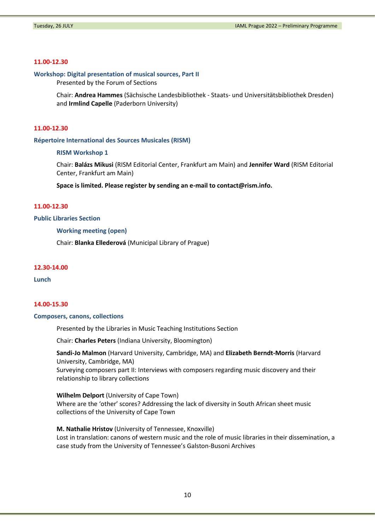## **11.00-12.30**

## **Workshop: Digital presentation of musical sources, Part II**

Presented by the Forum of Sections

Chair: **Andrea Hammes** (Sächsische Landesbibliothek - Staats- und Universitätsbibliothek Dresden) and **Irmlind Capelle** (Paderborn University)

# **11.00-12.30**

**Répertoire International des Sources Musicales (RISM)** 

### **RISM Workshop 1**

Chair: **Balázs Mikusi** (RISM Editorial Center, Frankfurt am Main) and **Jennifer Ward** (RISM Editorial Center, Frankfurt am Main)

**Space is limited. Please register by sending an e-mail t[o contact@rism.info.](mailto:contact@rism.info)**

### **11.00-12.30**

### **Public Libraries Section**

# **Working meeting (open)**

Chair: **Blanka Ellederová** (Municipal Library of Prague)

#### **12.30-14.00**

**Lunch**

### **14.00-15.30**

### **Composers, canons, collections**

Presented by the Libraries in Music Teaching Institutions Section

Chair: **Charles Peters** (Indiana University, Bloomington)

### **Sandi-Jo Malmon** (Harvard University, Cambridge, MA) and **Elizabeth Berndt-Morris** (Harvard University, Cambridge, MA)

Surveying composers part II: Interviews with composers regarding music discovery and their relationship to library collections

**Wilhelm Delport** (University of Cape Town)

Where are the 'other' scores? Addressing the lack of diversity in South African sheet music collections of the University of Cape Town

#### **M. Nathalie Hristov** (University of Tennessee, Knoxville)

Lost in translation: canons of western music and the role of music libraries in their dissemination, a case study from the University of Tennessee's Galston-Busoni Archives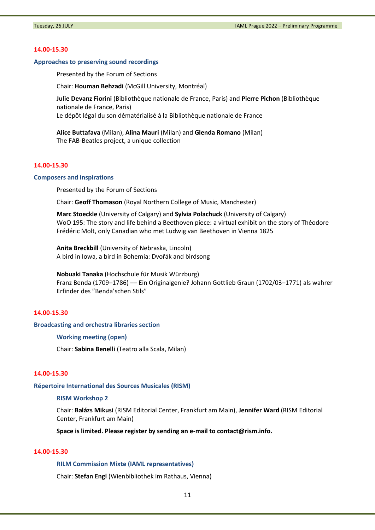#### **14.00-15.30**

#### **Approaches to preserving sound recordings**

Presented by the Forum of Sections

Chair: **Houman Behzadi** (McGill University, Montréal)

**Julie Devanz Fiorini** (Bibliothèque nationale de France, Paris) and **Pierre Pichon** (Bibliothèque nationale de France, Paris)

Le dépôt légal du son dématérialisé à la Bibliothèque nationale de France

**Alice Buttafava** (Milan), **Alina Mauri** (Milan) and **Glenda Romano** (Milan) The FAB-Beatles project, a unique collection

# **14.00-15.30**

#### **Composers and inspirations**

Presented by the Forum of Sections

Chair: **Geoff Thomason** (Royal Northern College of Music, Manchester)

**Marc Stoeckle** (University of Calgary) and **Sylvia Polachuck** (University of Calgary) WoO 195: The story and life behind a Beethoven piece: a virtual exhibit on the story of Théodore Frédéric Molt, only Canadian who met Ludwig van Beethoven in Vienna 1825

**Anita Breckbill** (University of Nebraska, Lincoln) A bird in Iowa, a bird in Bohemia: Dvořák and birdsong

**Nobuaki Tanaka** (Hochschule für Musik Würzburg) Franz Benda (1709–1786) –– Ein Originalgenie? Johann Gottlieb Graun (1702/03–1771) als wahrer Erfinder des "Benda'schen Stils"

# **14.00-15.30**

#### **Broadcasting and orchestra libraries section**

**Working meeting (open)**

Chair: **Sabina Benelli** (Teatro alla Scala, Milan)

# **14.00-15.30**

**Répertoire International des Sources Musicales (RISM)** 

#### **RISM Workshop 2**

Chair: **Balázs Mikusi** (RISM Editorial Center, Frankfurt am Main), **Jennifer Ward** (RISM Editorial Center, Frankfurt am Main)

**Space is limited. Please register by sending an e-mail t[o contact@rism.info.](mailto:contact@rism.info)**

# **14.00-15.30**

# **RILM Commission Mixte (IAML representatives)**

Chair: **Stefan Engl** (Wienbibliothek im Rathaus, Vienna)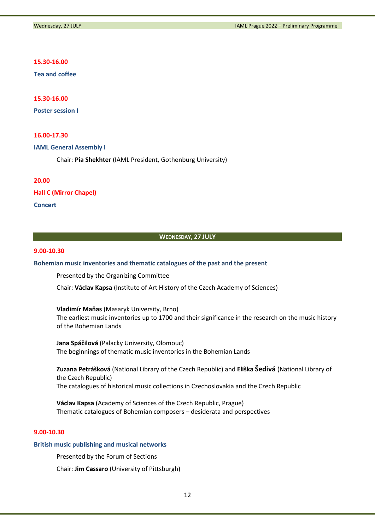# **15.30-16.00**

**Tea and coffee** 

**15.30-16.00**

**Poster session I**

# **16.00-17.30**

### **IAML General Assembly I**

Chair: **Pia Shekhter** (IAML President, Gothenburg University)

### **20.00**

**Hall C (Mirror Chapel)**

**Concert**

### **WEDNESDAY, 27 JULY**

# **9.00-10.30**

### **Bohemian music inventories and thematic catalogues of the past and the present**

Presented by the Organizing Committee

Chair: **Václav Kapsa** (Institute of Art History of the Czech Academy of Sciences)

**Vladimír Maňas** (Masaryk University, Brno) The earliest music inventories up to 1700 and their significance in the research on the music history of the Bohemian Lands

**Jana Spáčilová** (Palacky University, Olomouc) The beginnings of thematic music inventories in the Bohemian Lands

**Zuzana Petrášková** (National Library of the Czech Republic) and **Eliška Šedivá** (National Library of the Czech Republic) The catalogues of historical music collections in Czechoslovakia and the Czech Republic

**Václav Kapsa** (Academy of Sciences of the Czech Republic, Prague) Thematic catalogues of Bohemian composers – desiderata and perspectives

# **9.00-10.30**

#### **British music publishing and musical networks**

Presented by the Forum of Sections

Chair: **Jim Cassaro** (University of Pittsburgh)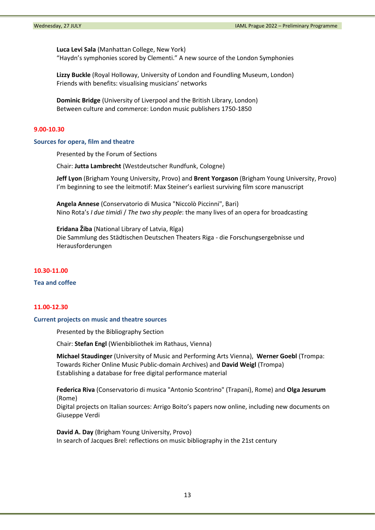**Luca Levi Sala** (Manhattan College, New York) "Haydn's symphonies scored by Clementi." A new source of the London Symphonies

**Lizzy Buckle** (Royal Holloway, University of London and Foundling Museum, London) Friends with benefits: visualising musicians' networks

**Dominic Bridge** (University of Liverpool and the British Library, London) Between culture and commerce: London music publishers 1750-1850

# **9.00-10.30**

### **Sources for opera, film and theatre**

Presented by the Forum of Sections

Chair: **Jutta Lambrecht** (Westdeutscher Rundfunk, Cologne)

**Jeff Lyon** (Brigham Young University, Provo) and **Brent Yorgason** (Brigham Young University, Provo) I'm beginning to see the leitmotif: Max Steiner's earliest surviving film score manuscript

**Angela Annese** (Conservatorio di Musica "Niccolò Piccinni", Bari) Nino Rota's *I due timidi* / *The two shy people*: the many lives of an opera for broadcasting

**Eridana Žiba** (National Library of Latvia, Rīga) Die Sammlung des Städtischen Deutschen Theaters Riga - die Forschungsergebnisse und Herausforderungen

### **10.30-11.00**

### **Tea and coffee**

# **11.00-12.30**

### **Current projects on music and theatre sources**

Presented by the Bibliography Section

Chair: **Stefan Engl** (Wienbibliothek im Rathaus, Vienna)

**Michael Staudinger** (University of Music and Performing Arts Vienna), **Werner Goebl** (Trompa: Towards Richer Online Music Public-domain Archives) and **David Weigl** (Trompa) Establishing a database for free digital performance material

**Federica Riva** (Conservatorio di musica "Antonio Scontrino" (Trapani), Rome) and **Olga Jesurum** (Rome)

Digital projects on Italian sources: Arrigo Boito's papers now online, including new documents on Giuseppe Verdi

**David A. Day** (Brigham Young University, Provo) In search of Jacques Brel: reflections on music bibliography in the 21st century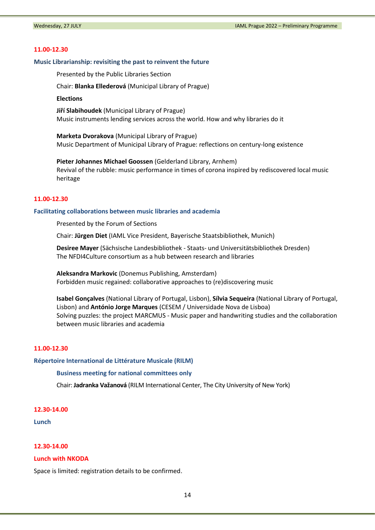#### **11.00-12.30**

#### **Music Librarianship: revisiting the past to reinvent the future**

Presented by the Public Libraries Section

Chair: **Blanka Ellederová** (Municipal Library of Prague)

**Elections**

**Jiří Slabihoudek** (Municipal Library of Prague) Music instruments lending services across the world. How and why libraries do it

**Marketa Dvorakova** (Municipal Library of Prague) Music Department of Municipal Library of Prague: reflections on century-long existence

**Pieter Johannes Michael Goossen** (Gelderland Library, Arnhem) Revival of the rubble: music performance in times of corona inspired by rediscovered local music heritage

### **11.00-12.30**

### **Facilitating collaborations between music libraries and academia**

Presented by the Forum of Sections

Chair: **Jürgen Diet** (IAML Vice President, Bayerische Staatsbibliothek, Munich)

**Desiree Mayer** (Sächsische Landesbibliothek - Staats- und Universitätsbibliothek Dresden) The NFDI4Culture consortium as a hub between research and libraries

**Aleksandra Markovic** (Donemus Publishing, Amsterdam) Forbidden music regained: collaborative approaches to (re)discovering music

**Isabel Gonçalves** (National Library of Portugal, Lisbon), **Sílvia Sequeira** (National Library of Portugal, Lisbon) and **António Jorge Marques** (CESEM / Universidade Nova de Lisboa) Solving puzzles: the project MARCMUS - Music paper and handwriting studies and the collaboration between music libraries and academia

# **11.00-12.30**

**Répertoire International de Littérature Musicale (RILM)** 

#### **Business meeting for national committees only**

Chair: **Jadranka Važanová** (RILM International Center, The City University of New York)

#### **12.30-14.00**

**Lunch**

# **12.30-14.00**

#### **Lunch with NKODA**

Space is limited: registration details to be confirmed.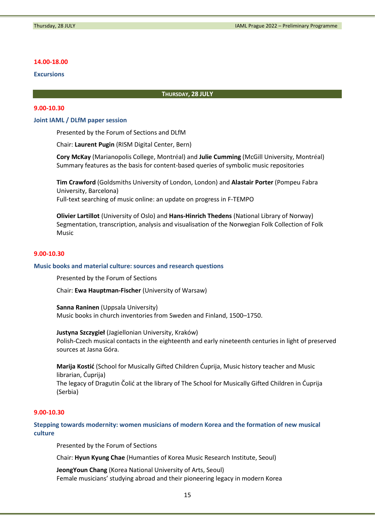### **14.00-18.00**

# **Excursions**

### **THURSDAY, 28 JULY**

# **9.00-10.30**

## **Joint IAML / DLfM paper session**

Presented by the Forum of Sections and DLfM

Chair: **Laurent Pugin** (RISM Digital Center, Bern)

**Cory McKay** (Marianopolis College, Montréal) and **Julie Cumming** (McGill University, Montréal) Summary features as the basis for content-based queries of symbolic music repositories

**Tim Crawford** (Goldsmiths University of London, London) and **Alastair Porter** (Pompeu Fabra University, Barcelona) Full-text searching of music online: an update on progress in F-TEMPO

**Olivier Lartillot** (University of Oslo) and **Hans-Hinrich Thedens** (National Library of Norway) Segmentation, transcription, analysis and visualisation of the Norwegian Folk Collection of Folk Music

# **9.00-10.30**

#### **Music books and material culture: sources and research questions**

Presented by the Forum of Sections

Chair: **Ewa Hauptman-Fischer** (University of Warsaw)

**Sanna Raninen** (Uppsala University) Music books in church inventories from Sweden and Finland, 1500–1750.

**Justyna Szczygieł** (Jagiellonian University, Kraków) Polish-Czech musical contacts in the eighteenth and early nineteenth centuries in light of preserved sources at Jasna Góra.

**Marija Kostić** (School for Musically Gifted Children Ćuprija, Music history teacher and Music librarian, Ćuprija) The legacy of Dragutin Čolić at the library of The School for Musically Gifted Children in Ćuprija (Serbia)

# **9.00-10.30**

**Stepping towards modernity: women musicians of modern Korea and the formation of new musical culture**

Presented by the Forum of Sections

Chair: **Hyun Kyung Chae** (Humanties of Korea Music Research Institute, Seoul)

**JeongYoun Chang** (Korea National University of Arts, Seoul) Female musicians' studying abroad and their pioneering legacy in modern Korea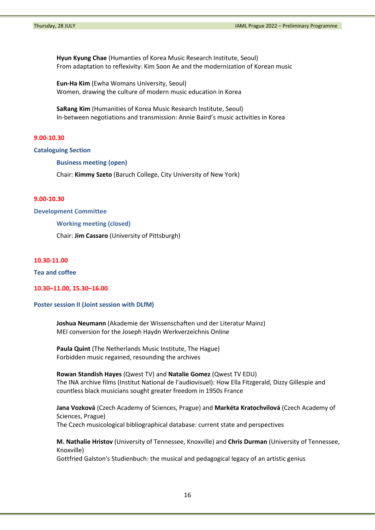**Hyun Kyung Chae** (Humanties of Korea Music Research Institute, Seoul) From adaptation to reflexivity: Kim Soon Ae and the modernization of Korean music

**Eun-Ha Kim** (Ewha Womans University, Seoul) Women, drawing the culture of modern music education in Korea

**SaRang Kim** (Humanities of Korea Music Research Institute, Seoul) In-between negotiations and transmission: Annie Baird's music activities in Korea

### **9.00-10.30**

# **Cataloguing Section**

**Business meeting (open)**

Chair: **Kimmy Szeto** (Baruch College, City University of New York)

## **9.00-10.30**

#### **Development Committee**

# **Working meeting (closed)**

Chair: **Jim Cassaro** (University of Pittsburgh)

# **10.30-11.00**

**Tea and coffee**

### **10.30–11.00, 15.30–16.00**

#### **Poster session II (Joint session with DLfM)**

**Joshua Neumann** (Akademie der Wissenschaften und der Literatur Mainz) MEI conversion for the Joseph Haydn Werkverzeichnis Online

**Paula Quint** (The Netherlands Music Institute, The Hague) Forbidden music regained, resounding the archives

#### **Rowan Standish Hayes** (Qwest TV) and **Natalie Gomez** (Qwest TV EDU)

The INA archive films (Institut National de l'audiovisuel): How Ella Fitzgerald, Dizzy Gillespie and countless black musicians sought greater freedom in 1950s France

**Jana Vozková** (Czech Academy of Sciences, Prague) and **Markéta Kratochvílová** (Czech Academy of Sciences, Prague) The Czech musicological bibliographical database: current state and perspectives

**M. Nathalie Hristov** (University of Tennessee, Knoxville) and **Chris Durman** (University of Tennessee, Knoxville)

Gottfried Galston's Studienbuch: the musical and pedagogical legacy of an artistic genius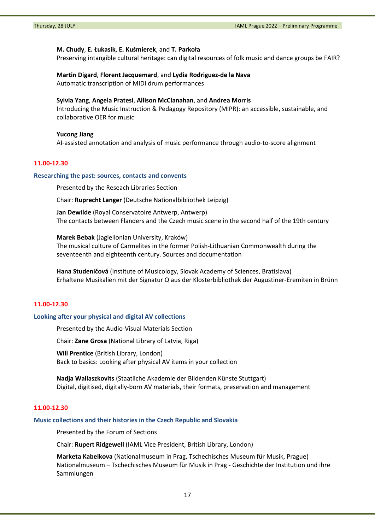#### **M. Chudy**, **E. Łukasik**, **E. Kuśmierek**, and **T. Parkoła**

Preserving intangible cultural heritage: can digital resources of folk music and dance groups be FAIR?

# **Martin Digard**, **Florent Jacquemard**, and **Lydia Rodriguez-de la Nava**

Automatic transcription of MIDI drum performances

### **Sylvia Yang**, **Angela Pratesi**, **Allison McClanahan**, and **Andrea Morris**

Introducing the Music Instruction & Pedagogy Repository (MIPR): an accessible, sustainable, and collaborative OER for music

# **Yucong Jiang**

AI-assisted annotation and analysis of music performance through audio-to-score alignment

# **11.00-12.30**

#### **Researching the past: sources, contacts and convents**

Presented by the Reseach Libraries Section

Chair: **Ruprecht Langer** (Deutsche Nationalbibliothek Leipzig)

**Jan Dewilde** (Royal Conservatoire Antwerp, Antwerp) The contacts between Flanders and the Czech music scene in the second half of the 19th century

**Marek Bebak** (Jagiellonian University, Kraków) The musical culture of Carmelites in the former Polish-Lithuanian Commonwealth during the seventeenth and eighteenth century. Sources and documentation

**Hana Studeničová** (Institute of Musicology, Slovak Academy of Sciences, Bratislava) Erhaltene Musikalien mit der Signatur Q aus der Klosterbibliothek der Augustiner-Eremiten in Brünn

# **11.00-12.30**

#### **Looking after your physical and digital AV collections**

Presented by the Audio-Visual Materials Section

Chair: **Zane Grosa** (National Library of Latvia, Riga)

**Will Prentice** (British Library, London) Back to basics: Looking after physical AV items in your collection

**Nadja Wallaszkovits** (Staatliche Akademie der Bildenden Künste Stuttgart) Digital, digitised, digitally-born AV materials, their formats, preservation and management

### **11.00-12.30**

#### **Music collections and their histories in the Czech Republic and Slovakia**

Presented by the Forum of Sections

Chair: **Rupert Ridgewell** (IAML Vice President, British Library, London)

**Marketa Kabelkova** (Nationalmuseum in Prag, Tschechisches Museum für Musik, Prague) Nationalmuseum – Tschechisches Museum für Musik in Prag - Geschichte der Institution und ihre Sammlungen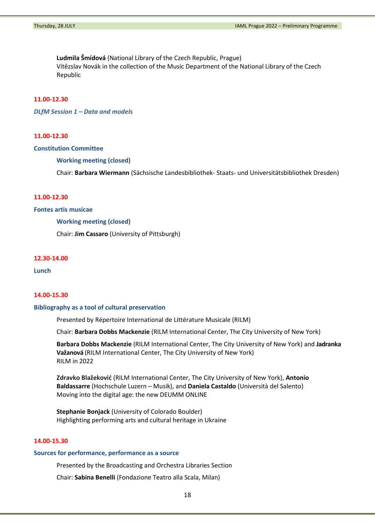**Ludmila Šmídová** (National Library of the Czech Republic, Prague) Vítězslav Novák in the collection of the Music Department of the National Library of the Czech Republic

# **11.00-12.30**

*DLfM Session 1 – Data and models*

## **11.00-12.30**

### **Constitution Committee**

**Working meeting (closed)**

Chair: **Barbara Wiermann** (Sächsische Landesbibliothek- Staats- und Universitätsbibliothek Dresden)

### **11.00-12.30**

## **Fontes artis musicae**

#### **Working meeting (closed)**

Chair: **Jim Cassaro** (University of Pittsburgh)

# **12.30-14.00**

**Lunch**

#### **14.00-15.30**

#### **Bibliography as a tool of cultural preservation**

Presented by Répertoire International de Littérature Musicale (RILM)

Chair: **Barbara Dobbs Mackenzie** (RILM International Center, The City University of New York)

**Barbara Dobbs Mackenzie** (RILM International Center, The City University of New York) and **Jadranka Važanová** (RILM International Center, The City University of New York) RILM in 2022

**Zdravko Blažeković** (RILM International Center, The City University of New York), **Antonio Baldassarre** (Hochschule Luzern – Musik), and **Daniela Castaldo** (Università del Salento) Moving into the digital age: the new DEUMM ONLINE

**Stephanie Bonjack** (University of Colorado Boulder) Highlighting performing arts and cultural heritage in Ukraine

# **14.00-15.30**

#### **Sources for performance, performance as a source**

Presented by the Broadcasting and Orchestra Libraries Section

Chair: **Sabina Benelli** (Fondazione Teatro alla Scala, Milan)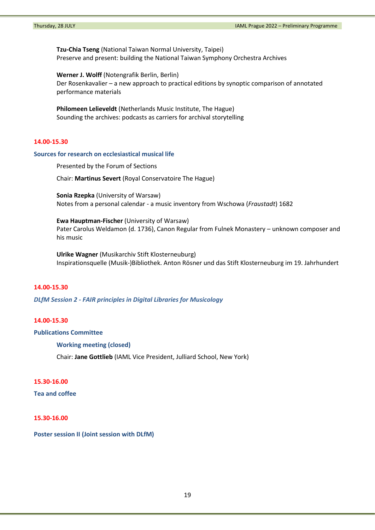**Tzu-Chia Tseng** (National Taiwan Normal University, Taipei) Preserve and present: building the National Taiwan Symphony Orchestra Archives

**Werner J. Wolff** (Notengrafik Berlin, Berlin) Der Rosenkavalier – a new approach to practical editions by synoptic comparison of annotated performance materials

**Philomeen Lelieveldt** (Netherlands Music Institute, The Hague) Sounding the archives: podcasts as carriers for archival storytelling

# **14.00-15.30**

### **Sources for research on ecclesiastical musical life**

Presented by the Forum of Sections

Chair: **Martinus Severt** (Royal Conservatoire The Hague)

**Sonia Rzepka** (University of Warsaw) Notes from a personal calendar - a music inventory from Wschowa (*Fraustadt*) 1682

**Ewa Hauptman-Fischer** (University of Warsaw) Pater Carolus Weldamon (d. 1736), Canon Regular from Fulnek Monastery – unknown composer and his music

**Ulrike Wagner** (Musikarchiv Stift Klosterneuburg) Inspirationsquelle (Musik-)Bibliothek. Anton Rösner und das Stift Klosterneuburg im 19. Jahrhundert

# **14.00-15.30**

*DLfM Session 2 - FAIR principles in Digital Libraries for Musicology*

# **14.00-15.30**

### **Publications Committee**

**Working meeting (closed)**

Chair: **Jane Gottlieb** (IAML Vice President, Julliard School, New York)

# **15.30-16.00**

**Tea and coffee** 

# **15.30-16.00**

**Poster session II (Joint session with DLfM)**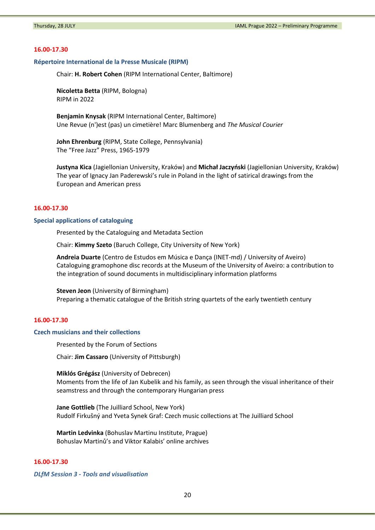### **16.00-17.30**

# **Répertoire International de la Presse Musicale (RIPM)**

Chair: **H. Robert Cohen** (RIPM International Center, Baltimore)

**Nicoletta Betta** (RIPM, Bologna) RIPM in 2022

**Benjamin Knysak** (RIPM International Center, Baltimore) Une Revue (n')est (pas) un cimetière! Marc Blumenberg and *The Musical Courier*

**John Ehrenburg** (RIPM, State College, Pennsylvania) The "Free Jazz" Press, 1965-1979

**Justyna Kica** (Jagiellonian University, Kraków) and **Michał Jaczyński** (Jagiellonian University, Kraków) The year of Ignacy Jan Paderewski's rule in Poland in the light of satirical drawings from the European and American press

#### **16.00-17.30**

#### **Special applications of cataloguing**

Presented by the Cataloguing and Metadata Section

Chair: **Kimmy Szeto** (Baruch College, City University of New York)

**Andreia Duarte** (Centro de Estudos em Música e Dança (INET-md) / University of Aveiro) Cataloguing gramophone disc records at the Museum of the University of Aveiro: a contribution to the integration of sound documents in multidisciplinary information platforms

**Steven Jeon** (University of Birmingham) Preparing a thematic catalogue of the British string quartets of the early twentieth century

# **16.00-17.30**

### **Czech musicians and their collections**

Presented by the Forum of Sections

Chair: **Jim Cassaro** (University of Pittsburgh)

**Miklós Grégász** (University of Debrecen) Moments from the life of Jan Kubelik and his family, as seen through the visual inheritance of their seamstress and through the contemporary Hungarian press

**Jane Gottlieb** (The Juilliard School, New York) Rudolf Firkušný and Yveta Synek Graf: Czech music collections at The Juilliard School

**Martin Ledvinka** (Bohuslav Martinu Institute, Prague) Bohuslav Martinů's and Viktor Kalabis' online archives

# **16.00-17.30**

*DLfM Session 3 - Tools and visualisation*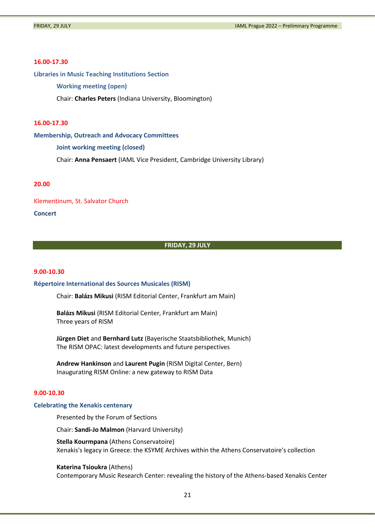#### **16.00-17.30**

**Libraries in Music Teaching Institutions Section**

**Working meeting (open)**

Chair: **Charles Peters** (Indiana University, Bloomington)

# **16.00-17.30**

**Membership, Outreach and Advocacy Committees**

**Joint working meeting (closed)**

Chair: **Anna Pensaert** (IAML Vice President, Cambridge University Library)

### **20.00**

Klementinum, St. Salvator Church

**Concert**

#### **FRIDAY, 29 JULY**

# **9.00-10.30**

#### **Répertoire International des Sources Musicales (RISM)**

Chair: **Balázs Mikusi** (RISM Editorial Center, Frankfurt am Main)

**Balázs Mikusi** (RISM Editorial Center, Frankfurt am Main) Three years of RISM

**Jürgen Diet** and **Bernhard Lutz** (Bayerische Staatsbibliothek, Munich) The RISM OPAC: latest developments and future perspectives

**Andrew Hankinson** and **Laurent Pugin** (RISM Digital Center, Bern) Inaugurating RISM Online: a new gateway to RISM Data

### **9.00-10.30**

#### **Celebrating the Xenakis centenary**

Presented by the Forum of Sections

Chair: **Sandi-Jo Malmon** (Harvard University)

**Stella Kourmpana** (Athens Conservatoire) Xenakis's legacy in Greece: the KSYME Archives within the Athens Conservatoire's collection

**Katerina Tsioukra** (Athens)

Contemporary Music Research Center: revealing the history of the Athens-based Xenakis Center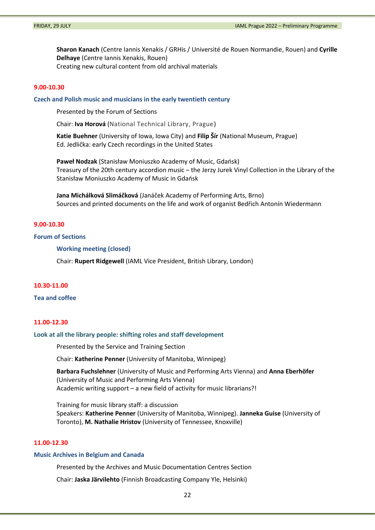**Sharon Kanach** (Centre Iannis Xenakis / GRHis / Université de Rouen Normandie, Rouen) and **Cyrille Delhaye** (Centre Iannis Xenakis, Rouen) Creating new cultural content from old archival materials

# **9.00-10.30**

**Czech and Polish music and musicians in the early twentieth century**

Presented by the Forum of Sections

Chair: **Iva Horová** (National Technical Library, Prague)

**Katie Buehner** (University of Iowa, Iowa City) and **Filip Šír** (National Museum, Prague) Ed. Jedlička: early Czech recordings in the United States

**Paweł Nodzak** (Stanisław Moniuszko Academy of Music, Gdańsk) Treasury of the 20th century accordion music – the Jerzy Jurek Vinyl Collection in the Library of the Stanisław Moniuszko Academy of Music in Gdańsk

**Jana Michálková Slimáčková** (Janáček Academy of Performing Arts, Brno) Sources and printed documents on the life and work of organist Bedřich Antonín Wiedermann

# **9.00-10.30**

## **Forum of Sections**

**Working meeting (closed)**

Chair: **Rupert Ridgewell** (IAML Vice President, British Library, London)

# **10.30-11.00**

#### **Tea and coffee**

### **11.00-12.30**

# **Look at all the library people: shifting roles and staff development**

Presented by the Service and Training Section

Chair: **Katherine Penner** (University of Manitoba, Winnipeg)

**Barbara Fuchslehner** (University of Music and Performing Arts Vienna) and **Anna Eberhöfer** (University of Music and Performing Arts Vienna) Academic writing support – a new field of activity for music librarians?!

Training for music library staff: a discussion Speakers: **Katherine Penner** (University of Manitoba, Winnipeg). **Janneka Guise** (University of Toronto), **M. Nathalie Hristov** (University of Tennessee, Knoxville)

## **11.00-12.30**

#### **Music Archives in Belgium and Canada**

Presented by the Archives and Music Documentation Centres Section

Chair: **Jaska Järvilehto** (Finnish Broadcasting Company Yle, Helsinki)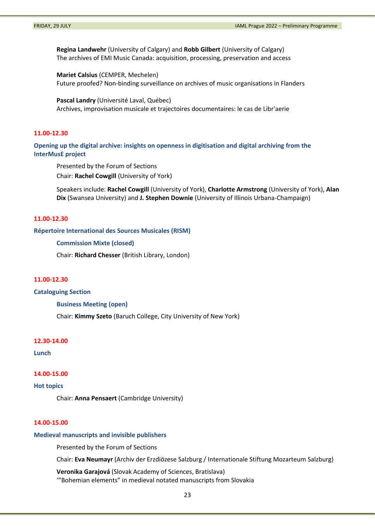**Regina Landwehr** (University of Calgary) and **Robb Gilbert** (University of Calgary) The archives of EMI Music Canada: acquisition, processing, preservation and access

**Mariet Calsius** (CEMPER, Mechelen) Future proofed? Non-binding surveillance on archives of music organisations in Flanders

**Pascal Landry** (Université Laval, Québec) Archives, improvisation musicale et trajectoires documentaires: le cas de Libr'aerie

# **11.00-12.30**

**Opening up the digital archive: insights on openness in digitisation and digital archiving from the InterMusE project**

Presented by the Forum of Sections Chair: **Rachel Cowgill** (University of York)

Speakers include: **Rachel Cowgill** (University of York), **Charlotte Armstrong** (University of York), **Alan Dix** (Swansea University) and **J. Stephen Downie** (University of Illinois Urbana-Champaign)

# **11.00-12.30**

**Répertoire International des Sources Musicales (RISM)** 

**Commission Mixte (closed)**

Chair: **Richard Chesser** (British Library, London)

## **11.00-12.30**

**Cataloguing Section**

**Business Meeting (open)**

Chair: **Kimmy Szeto** (Baruch College, City University of New York)

#### **12.30-14.00**

**Lunch**

#### **14.00-15.00**

### **Hot topics**

Chair: **Anna Pensaert** (Cambridge University)

### **14.00-15.00**

#### **Medieval manuscripts and invisible publishers**

Presented by the Forum of Sections

Chair: **Eva Neumayr** (Archiv der Erzdiözese Salzburg / Internationale Stiftung Mozarteum Salzburg)

**Veronika Garajová** (Slovak Academy of Sciences, Bratislava) '"Bohemian elements" in medieval notated manuscripts from Slovakia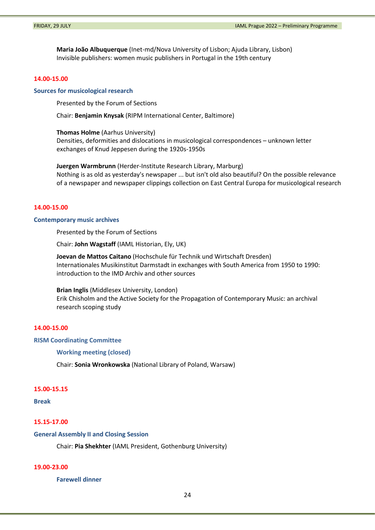**Maria João Albuquerque** (Inet-md/Nova University of Lisbon; Ajuda Library, Lisbon) Invisible publishers: women music publishers in Portugal in the 19th century

# **14.00-15.00**

#### **Sources for musicological research**

Presented by the Forum of Sections

Chair: **Benjamin Knysak** (RIPM International Center, Baltimore)

**Thomas Holme** (Aarhus University)

Densities, deformities and dislocations in musicological correspondences – unknown letter exchanges of Knud Jeppesen during the 1920s-1950s

**Juergen Warmbrunn** (Herder-Institute Research Library, Marburg) Nothing is as old as yesterday's newspaper ... but isn't old also beautiful? On the possible relevance of a newspaper and newspaper clippings collection on East Central Europa for musicological research

# **14.00-15.00**

### **Contemporary music archives**

Presented by the Forum of Sections

Chair: **John Wagstaff** (IAML Historian, Ely, UK)

**Joevan de Mattos Caitano** (Hochschule für Technik und Wirtschaft Dresden) Internationales Musikinstitut Darmstadt in exchanges with South America from 1950 to 1990: introduction to the IMD Archiv and other sources

#### **Brian Inglis** (Middlesex University, London)

Erik Chisholm and the Active Society for the Propagation of Contemporary Music: an archival research scoping study

# **14.00-15.00**

**RISM Coordinating Committee**

**Working meeting (closed)**

Chair: **Sonia Wronkowska** (National Library of Poland, Warsaw)

### **15.00-15.15**

#### **Break**

#### **15.15-17.00**

#### **General Assembly II and Closing Session**

Chair: **Pia Shekhter** (IAML President, Gothenburg University)

# **19.00-23.00**

**Farewell dinner**